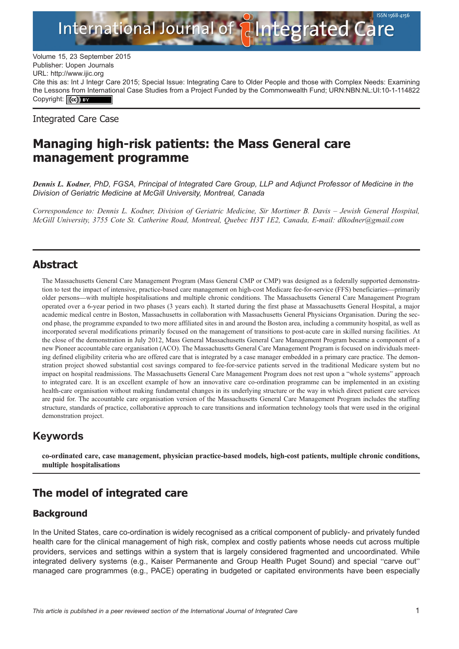

Volume 15, 23 September 2015<br>Publisher: Uopen Journals Publisher: Uopen Journals URL:<http://www.ijic.org> Cite this as: Int J Integr Care 2015; Special Issue: Integrating Care to Older People and those with Complex Needs: Examining the Lessons from International Case Studies from a Project Funded by the Commonwealth Fund; [URN:NBN:NL:UI:10-1-114822](http://persistent-identifier.nl/?identifier=URN:NBN:NL:UI:10-1-114822) Copyright: (cc) BY

Integrated Care Case

# Managing high-risk patients: the Mass General care management programme

Dennis L. Kodner, PhD, FGSA, Principal of Integrated Care Group, LLP and Adjunct Professor of Medicine in the Division of Geriatric Medicine at McGill University, Montreal, Canada

Correspondence to: Dennis L. Kodner, Division of Geriatric Medicine, Sir Mortimer B. Davis – Jewish General Hospital, McGill University, 3755 Cote St. Catherine Road, Montreal, Quebec H3T 1E2, Canada, E-mail: dlkodner@gmail.com

## Abstract

The Massachusetts General Care Management Program (Mass General CMP or CMP) was designed as a federally supported demonstration to test the impact of intensive, practice-based care management on high-cost Medicare fee-for-service (FFS) beneficiaries—primarily older persons—with multiple hospitalisations and multiple chronic conditions. The Massachusetts General Care Management Program operated over a 6-year period in two phases (3 years each). It started during the first phase at Massachusetts General Hospital, a major academic medical centre in Boston, Massachusetts in collaboration with Massachusetts General Physicians Organisation. During the second phase, the programme expanded to two more affiliated sites in and around the Boston area, including a community hospital, as well as incorporated several modifications primarily focused on the management of transitions to post-acute care in skilled nursing facilities. At the close of the demonstration in July 2012, Mass General Massachusetts General Care Management Program became a component of a new Pioneer accountable care organisation (ACO). The Massachusetts General Care Management Program is focused on individuals meeting defined eligibility criteria who are offered care that is integrated by a case manager embedded in a primary care practice. The demonstration project showed substantial cost savings compared to fee-for-service patients served in the traditional Medicare system but no impact on hospital readmissions. The Massachusetts General Care Management Program does not rest upon a "whole systems" approach to integrated care. It is an excellent example of how an innovative care co-ordination programme can be implemented in an existing health-care organisation without making fundamental changes in its underlying structure or the way in which direct patient care services are paid for. The accountable care organisation version of the Massachusetts General Care Management Program includes the staffing structure, standards of practice, collaborative approach to care transitions and information technology tools that were used in the original demonstration project.

## Keywords

co-ordinated care, case management, physician practice-based models, high-cost patients, multiple chronic conditions, multiple hospitalisations

# The model of integrated care

## **Background**

In the United States, care co-ordination is widely recognised as a critical component of publicly- and privately funded health care for the clinical management of high risk, complex and costly patients whose needs cut across multiple providers, services and settings within a system that is largely considered fragmented and uncoordinated. While integrated delivery systems (e.g., Kaiser Permanente and Group Health Puget Sound) and special "carve out" managed care programmes (e.g., PACE) operating in budgeted or capitated environments have been especially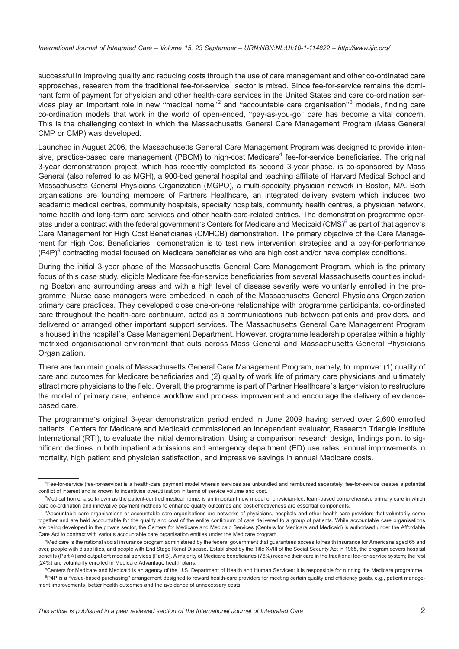successful in improving quality and reducing costs through the use of care management and other co-ordinated care approaches, research from the traditional fee-for-service<sup>1</sup> sector is mixed. Since fee-for-service remains the dominant form of payment for physician and other health-care services in the United States and care co-ordination services play an important role in new "medical home"<sup>2</sup> and "accountable care organisation"<sup>3</sup> models, finding care co-ordination models that work in the world of open-ended, "pay-as-you-go" care has become a vital concern. This is the challenging context in which the Massachusetts General Care Management Program (Mass General CMP or CMP) was developed.

Launched in August 2006, the Massachusetts General Care Management Program was designed to provide intensive, practice-based care management (PBCM) to high-cost Medicare<sup>4</sup> fee-for-service beneficiaries. The original 3-year demonstration project, which has recently completed its second 3-year phase, is co-sponsored by Mass General (also referred to as MGH), a 900-bed general hospital and teaching affiliate of Harvard Medical School and Massachusetts General Physicians Organization (MGPO), a multi-specialty physician network in Boston, MA. Both organisations are founding members of Partners Healthcare, an integrated delivery system which includes two academic medical centres, community hospitals, specialty hospitals, community health centres, a physician network, home health and long-term care services and other health-care-related entities. The demonstration programme operates under a contract with the federal government's Centers for Medicare and Medicaid (CMS)<sup>5</sup> as part of that agency's Care Management for High Cost Beneficiaries (CMHCB) demonstration. The primary objective of the Care Management for High Cost Beneficiaries demonstration is to test new intervention strategies and a pay-for-performance  $(P4P)^6$  contracting model focused on Medicare beneficiaries who are high cost and/or have complex conditions.

During the initial 3-year phase of the Massachusetts General Care Management Program, which is the primary focus of this case study, eligible Medicare fee-for-service beneficiaries from several Massachusetts counties including Boston and surrounding areas and with a high level of disease severity were voluntarily enrolled in the programme. Nurse case managers were embedded in each of the Massachusetts General Physicians Organization primary care practices. They developed close one-on-one relationships with programme participants, co-ordinated care throughout the health-care continuum, acted as a communications hub between patients and providers, and delivered or arranged other important support services. The Massachusetts General Care Management Program is housed in the hospital's Case Management Department. However, programme leadership operates within a highly matrixed organisational environment that cuts across Mass General and Massachusetts General Physicians Organization.

There are two main goals of Massachusetts General Care Management Program, namely, to improve: (1) quality of care and outcomes for Medicare beneficiaries and (2) quality of work life of primary care physicians and ultimately attract more physicians to the field. Overall, the programme is part of Partner Healthcare's larger vision to restructure the model of primary care, enhance workflow and process improvement and encourage the delivery of evidencebased care.

The programme's original 3-year demonstration period ended in June 2009 having served over 2,600 enrolled patients. Centers for Medicare and Medicaid commissioned an independent evaluator, Research Triangle Institute International (RTI), to evaluate the initial demonstration. Using a comparison research design, findings point to significant declines in both inpatient admissions and emergency department (ED) use rates, annual improvements in mortality, high patient and physician satisfaction, and impressive savings in annual Medicare costs.

<sup>1</sup> Fee-for-service (fee-for-service) is a health-care payment model wherein services are unbundled and reimbursed separately. fee-for-service creates a potential conflict of interest and is known to incentivise overutilisation in terms of service volume and cost.

<sup>2</sup> Medical home, also known as the patient-centred medical home, is an important new model of physician-led, team-based comprehensive primary care in which care co-ordination and innovative payment methods to enhance quality outcomes and cost-effectiveness are essential components.

<sup>3</sup> Accountable care organisations or accountable care organisations are networks of physicians, hospitals and other health-care providers that voluntarily come together and are held accountable for the quality and cost of the entire continuum of care delivered to a group of patients. While accountable care organisations are being developed in the private sector, the Centers for Medicare and Medicaid Services (Centers for Medicare and Medicaid) is authorised under the Affordable Care Act to contract with various accountable care organisation entities under the Medicare program.

<sup>4</sup> Medicare is the national social insurance program administered by the federal government that guarantees access to health insurance for Americans aged 65 and over, people with disabilities, and people with End Stage Renal Disease. Established by the Title XVIII of the Social Security Act in 1965, the program covers hospital benefits (Part A) and outpatient medical services (Part B). A majority of Medicare beneficiaries (76%) receive their care in the traditional fee-for-service system; the rest (24%) are voluntarily enrolled in Medicare Advantage health plans.

<sup>5</sup> Centers for Medicare and Medicaid is an agency of the U.S. Department of Health and Human Services; it is responsible for running the Medicare programme. <sup>e</sup>P4P is a "value-based purchasing" arrangement designed to reward health-care providers for meeting certain quality and efficiency goals, e.g., patient management improvements, better health outcomes and the avoidance of unnecessary costs.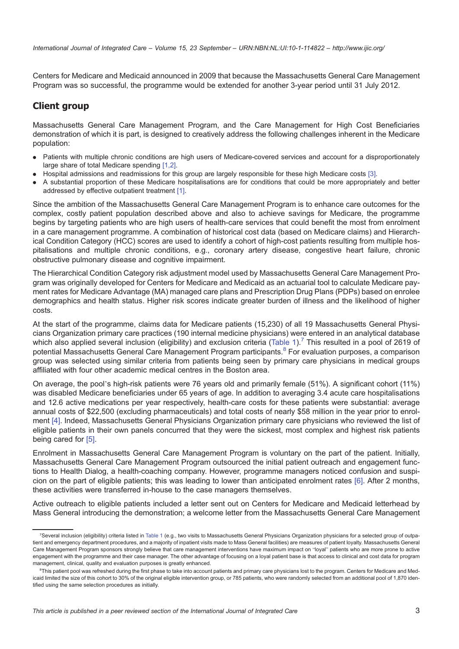Centers for Medicare and Medicaid announced in 2009 that because the Massachusetts General Care Management Program was so successful, the programme would be extended for another 3-year period until 31 July 2012.

### **Client group**

Massachusetts General Care Management Program, and the Care Management for High Cost Beneficiaries demonstration of which it is part, is designed to creatively address the following challenges inherent in the Medicare population:

- . Patients with multiple chronic conditions are high users of Medicare-covered services and account for a disproportionately large share of total Medicare spending [\[1](#page-14-0),[2\].](#page-14-0)
- . Hospital admissions and readmissions for this group are largely responsible for these high Medicare costs [\[3\]](#page-14-0).
- . A substantial proportion of these Medicare hospitalisations are for conditions that could be more appropriately and better addressed by effective outpatient treatment [\[1\]](#page-14-0).

Since the ambition of the Massachusetts General Care Management Program is to enhance care outcomes for the complex, costly patient population described above and also to achieve savings for Medicare, the programme begins by targeting patients who are high users of health-care services that could benefit the most from enrolment in a care management programme. A combination of historical cost data (based on Medicare claims) and Hierarchical Condition Category (HCC) scores are used to identify a cohort of high-cost patients resulting from multiple hospitalisations and multiple chronic conditions, e.g., coronary artery disease, congestive heart failure, chronic obstructive pulmonary disease and cognitive impairment.

The Hierarchical Condition Category risk adjustment model used by Massachusetts General Care Management Program was originally developed for Centers for Medicare and Medicaid as an actuarial tool to calculate Medicare payment rates for Medicare Advantage (MA) managed care plans and Prescription Drug Plans (PDPs) based on enrolee demographics and health status. Higher risk scores indicate greater burden of illness and the likelihood of higher costs.

At the start of the programme, claims data for Medicare patients (15,230) of all 19 Massachusetts General Physicians Organization primary care practices (190 internal medicine physicians) were entered in an analytical database which also applied several inclusion (eligibility) and exclusion criteria ([Table 1](#page-3-0)).<sup>7</sup> This resulted in a pool of 2619 of potential Massachusetts General Care Management Program participants.<sup>8</sup> For evaluation purposes, a comparison group was selected using similar criteria from patients being seen by primary care physicians in medical groups affiliated with four other academic medical centres in the Boston area.

On average, the pool's high-risk patients were 76 years old and primarily female (51%). A significant cohort (11%) was disabled Medicare beneficiaries under 65 years of age. In addition to averaging 3.4 acute care hospitalisations and 12.6 active medications per year respectively, health-care costs for these patients were substantial: average annual costs of \$22,500 (excluding pharmaceuticals) and total costs of nearly \$58 million in the year prior to enrolment [\[4\]](#page-14-0). Indeed, Massachusetts General Physicians Organization primary care physicians who reviewed the list of eligible patients in their own panels concurred that they were the sickest, most complex and highest risk patients being cared for [\[5\].](#page-14-0)

Enrolment in Massachusetts General Care Management Program is voluntary on the part of the patient. Initially, Massachusetts General Care Management Program outsourced the initial patient outreach and engagement functions to Health Dialog, a health-coaching company. However, programme managers noticed confusion and suspicion on the part of eligible patients; this was leading to lower than anticipated enrolment rates [\[6\].](#page-14-0) After 2 months, these activities were transferred in-house to the case managers themselves.

Active outreach to eligible patients included a letter sent out on Centers for Medicare and Medicaid letterhead by Mass General introducing the demonstration; a welcome letter from the Massachusetts General Care Management

<sup>7</sup> Several inclusion (eligibility) criteria listed in [Table 1](#page-3-0) (e.g., two visits to Massachusetts General Physicians Organization physicians for a selected group of outpatient and emergency department procedures, and a majority of inpatient visits made to Mass General facilities) are measures of patient loyalty. Massachusetts General Care Management Program sponsors strongly believe that care management interventions have maximum impact on "loyal" patients who are more prone to active engagement with the programme and their case manager. The other advantage of focusing on a loyal patient base is that access to clinical and cost data for program management, clinical, quality and evaluation purposes is greatly enhanced.

<sup>&</sup>lt;sup>8</sup>This patient pool was refreshed during the first phase to take into account patients and primary care physicians lost to the program. Centers for Medicare and Medicaid limited the size of this cohort to 30% of the original eligible intervention group, or 785 patients, who were randomly selected from an additional pool of 1,870 identified using the same selection procedures as initially.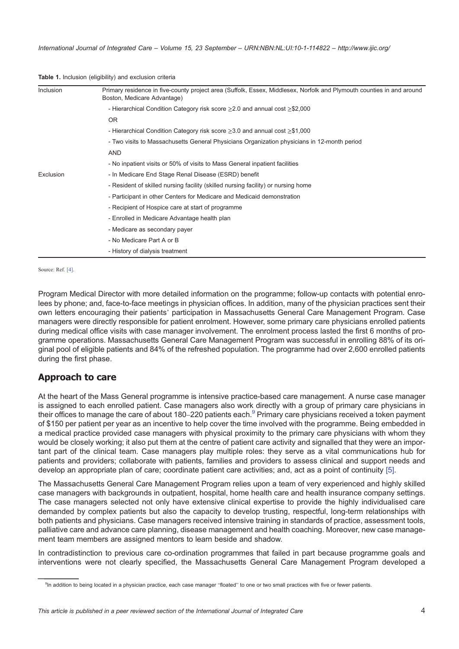| Inclusion | Primary residence in five-county project area (Suffolk, Essex, Middlesex, Norfolk and Plymouth counties in and around<br>Boston, Medicare Advantage) |  |
|-----------|------------------------------------------------------------------------------------------------------------------------------------------------------|--|
|           | - Hierarchical Condition Category risk score $\geq$ 2.0 and annual cost $\geq$ \$2,000                                                               |  |
|           | OR.                                                                                                                                                  |  |
|           | - Hierarchical Condition Category risk score $\geq$ 3.0 and annual cost $\geq$ \$1,000                                                               |  |
|           | - Two visits to Massachusetts General Physicians Organization physicians in 12-month period                                                          |  |
|           | AND                                                                                                                                                  |  |
|           | - No inpatient visits or 50% of visits to Mass General inpatient facilities                                                                          |  |
| Exclusion | - In Medicare End Stage Renal Disease (ESRD) benefit                                                                                                 |  |
|           | - Resident of skilled nursing facility (skilled nursing facility) or nursing home                                                                    |  |
|           | - Participant in other Centers for Medicare and Medicaid demonstration                                                                               |  |
|           | - Recipient of Hospice care at start of programme                                                                                                    |  |
|           | - Enrolled in Medicare Advantage health plan                                                                                                         |  |
|           | - Medicare as secondary payer                                                                                                                        |  |
|           | - No Medicare Part A or B                                                                                                                            |  |
|           | - History of dialysis treatment                                                                                                                      |  |

#### <span id="page-3-0"></span>Table 1. Inclusion (eligibility) and exclusion criteria

Source: Ref. [\[4\].](#page-14-0)

Program Medical Director with more detailed information on the programme; follow-up contacts with potential enrolees by phone; and, face-to-face meetings in physician offices. In addition, many of the physician practices sent their own letters encouraging their patients' participation in Massachusetts General Care Management Program. Case managers were directly responsible for patient enrolment. However, some primary care physicians enrolled patients during medical office visits with case manager involvement. The enrolment process lasted the first 6 months of programme operations. Massachusetts General Care Management Program was successful in enrolling 88% of its original pool of eligible patients and 84% of the refreshed population. The programme had over 2,600 enrolled patients during the first phase.

## Approach to care

At the heart of the Mass General programme is intensive practice-based care management. A nurse case manager is assigned to each enrolled patient. Case managers also work directly with a group of primary care physicians in their offices to manage the care of about 180–220 patients each.<sup>9</sup> Primary care physicians received a token payment of \$150 per patient per year as an incentive to help cover the time involved with the programme. Being embedded in a medical practice provided case managers with physical proximity to the primary care physicians with whom they would be closely working; it also put them at the centre of patient care activity and signalled that they were an important part of the clinical team. Case managers play multiple roles: they serve as a vital communications hub for patients and providers; collaborate with patients, families and providers to assess clinical and support needs and develop an appropriate plan of care; coordinate patient care activities; and, act as a point of continuity [5].

The Massachusetts General Care Management Program relies upon a team of very experienced and highly skilled case managers with backgrounds in outpatient, hospital, home health care and health insurance company settings. The case managers selected not only have extensive clinical expertise to provide the highly individualised care demanded by complex patients but also the capacity to develop trusting, respectful, long-term relationships with both patients and physicians. Case managers received intensive training in standards of practice, assessment tools, palliative care and advance care planning, disease management and health coaching. Moreover, new case management team members are assigned mentors to learn beside and shadow.

In contradistinction to previous care co-ordination programmes that failed in part because programme goals and interventions were not clearly specified, the Massachusetts General Care Management Program developed a

<sup>&</sup>lt;sup>9</sup>In addition to being located in a physician practice, each case manager "floated" to one or two small practices with five or fewer patients.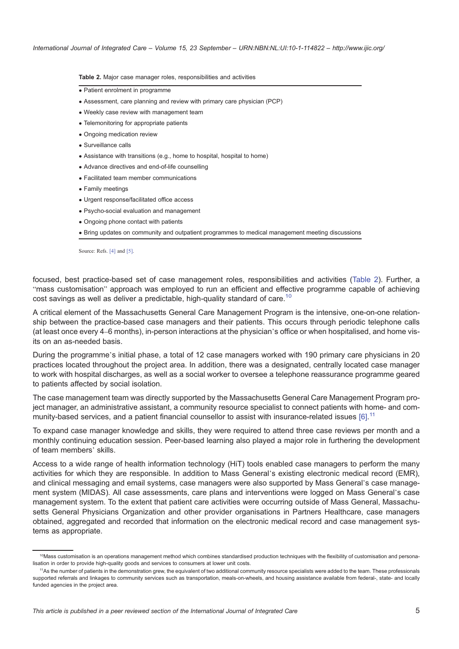Table 2. Major case manager roles, responsibilities and activities

- Patient enrolment in programme
- Assessment, care planning and review with primary care physician (PCP)
- Weekly case review with management team
- Telemonitoring for appropriate patients
- Ongoing medication review
- Surveillance calls
- Assistance with transitions (e.g., home to hospital, hospital to home)
- Advance directives and end-of-life counselling
- Facilitated team member communications
- Family meetings
- Urgent response/facilitated office access
- Psycho-social evaluation and management
- Ongoing phone contact with patients
- Bring updates on community and outpatient programmes to medical management meeting discussions

Source: Refs. [\[4\]](#page-14-0) and [\[5\]](#page-14-0).

focused, best practice-based set of case management roles, responsibilities and activities (Table 2). Further, a "mass customisation" approach was employed to run an efficient and effective programme capable of achieving cost savings as well as deliver a predictable, high-quality standard of care.<sup>10</sup>

A critical element of the Massachusetts General Care Management Program is the intensive, one-on-one relationship between the practice-based case managers and their patients. This occurs through periodic telephone calls (at least once every 4–6 months), in-person interactions at the physician's office or when hospitalised, and home visits on an as-needed basis.

During the programme's initial phase, a total of 12 case managers worked with 190 primary care physicians in 20 practices located throughout the project area. In addition, there was a designated, centrally located case manager to work with hospital discharges, as well as a social worker to oversee a telephone reassurance programme geared to patients affected by social isolation.

The case management team was directly supported by the Massachusetts General Care Management Program project manager, an administrative assistant, a community resource specialist to connect patients with home- and com-munity-based services, and a patient financial counsellor to assist with insurance-related issues [\[6\].](#page-14-0)<sup>11</sup>

To expand case manager knowledge and skills, they were required to attend three case reviews per month and a monthly continuing education session. Peer-based learning also played a major role in furthering the development of team members' skills.

Access to a wide range of health information technology (HiT) tools enabled case managers to perform the many activities for which they are responsible. In addition to Mass General's existing electronic medical record (EMR), and clinical messaging and email systems, case managers were also supported by Mass General's case management system (MIDAS). All case assessments, care plans and interventions were logged on Mass General's case management system. To the extent that patient care activities were occurring outside of Mass General, Massachusetts General Physicians Organization and other provider organisations in Partners Healthcare, case managers obtained, aggregated and recorded that information on the electronic medical record and case management systems as appropriate.

<sup>&</sup>lt;sup>10</sup>Mass customisation is an operations management method which combines standardised production techniques with the flexibility of customisation and personalisation in order to provide high-quality goods and services to consumers at lower unit costs.

<sup>11</sup>As the number of patients in the demonstration grew, the equivalent of two additional community resource specialists were added to the team. These professionals supported referrals and linkages to community services such as transportation, meals-on-wheels, and housing assistance available from federal-, state- and locally funded agencies in the project area.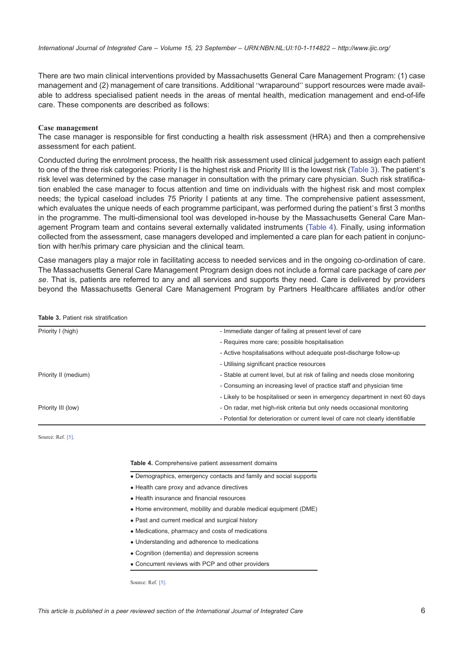There are two main clinical interventions provided by Massachusetts General Care Management Program: (1) case management and (2) management of care transitions. Additional "wraparound" support resources were made available to address specialised patient needs in the areas of mental health, medication management and end-of-life care. These components are described as follows:

### Case management

The case manager is responsible for first conducting a health risk assessment (HRA) and then a comprehensive assessment for each patient.

Conducted during the enrolment process, the health risk assessment used clinical judgement to assign each patient to one of the three risk categories: Priority I is the highest risk and Priority III is the lowest risk (Table 3). The patient's risk level was determined by the case manager in consultation with the primary care physician. Such risk stratification enabled the case manager to focus attention and time on individuals with the highest risk and most complex needs; the typical caseload includes 75 Priority I patients at any time. The comprehensive patient assessment, which evaluates the unique needs of each programme participant, was performed during the patient's first 3 months in the programme. The multi-dimensional tool was developed in-house by the Massachusetts General Care Management Program team and contains several externally validated instruments (Table 4). Finally, using information collected from the assessment, case managers developed and implemented a care plan for each patient in conjunction with her/his primary care physician and the clinical team.

Case managers play a major role in facilitating access to needed services and in the ongoing co-ordination of care. The Massachusetts General Care Management Program design does not include a formal care package of care per se. That is, patients are referred to any and all services and supports they need. Care is delivered by providers beyond the Massachusetts General Care Management Program by Partners Healthcare affiliates and/or other

| Priority I (high)    | - Immediate danger of failing at present level of care                          |
|----------------------|---------------------------------------------------------------------------------|
|                      | - Requires more care; possible hospitalisation                                  |
|                      | - Active hospitalisations without adequate post-discharge follow-up             |
|                      | - Utilising significant practice resources                                      |
| Priority II (medium) | - Stable at current level, but at risk of failing and needs close monitoring    |
|                      | - Consuming an increasing level of practice staff and physician time            |
|                      | - Likely to be hospitalised or seen in emergency department in next 60 days     |
| Priority III (low)   | - On radar, met high-risk criteria but only needs occasional monitoring         |
|                      | - Potential for deterioration or current level of care not clearly identifiable |

Table 3. Patient risk stratification

Source: Ref. [\[5\].](#page-14-0)

#### Table 4. Comprehensive patient assessment domains

- Demographics, emergency contacts and family and social supports
- Health care proxy and advance directives
- Health insurance and financial resources
- Home environment, mobility and durable medical equipment (DME)
- Past and current medical and surgical history
- Medications, pharmacy and costs of medications
- Understanding and adherence to medications
- Cognition (dementia) and depression screens
- Concurrent reviews with PCP and other providers

Source: Ref. [\[5\]](#page-14-0).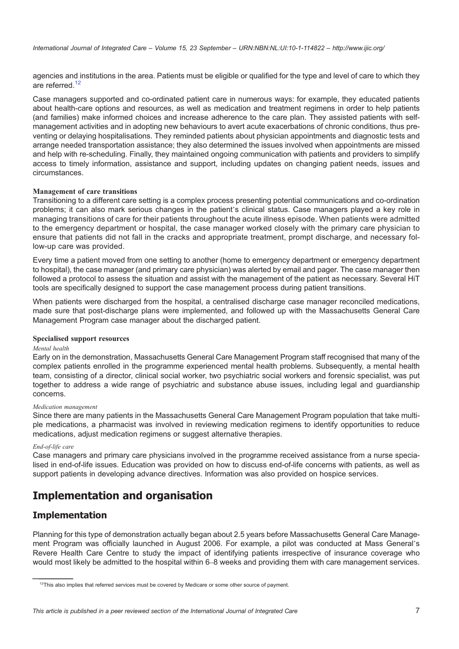agencies and institutions in the area. Patients must be eligible or qualified for the type and level of care to which they are referred.<sup>12</sup>

Case managers supported and co-ordinated patient care in numerous ways: for example, they educated patients about health-care options and resources, as well as medication and treatment regimens in order to help patients (and families) make informed choices and increase adherence to the care plan. They assisted patients with selfmanagement activities and in adopting new behaviours to avert acute exacerbations of chronic conditions, thus preventing or delaying hospitalisations. They reminded patients about physician appointments and diagnostic tests and arrange needed transportation assistance; they also determined the issues involved when appointments are missed and help with re-scheduling. Finally, they maintained ongoing communication with patients and providers to simplify access to timely information, assistance and support, including updates on changing patient needs, issues and circumstances.

### Management of care transitions

Transitioning to a different care setting is a complex process presenting potential communications and co-ordination problems; it can also mark serious changes in the patient's clinical status. Case managers played a key role in managing transitions of care for their patients throughout the acute illness episode. When patients were admitted to the emergency department or hospital, the case manager worked closely with the primary care physician to ensure that patients did not fall in the cracks and appropriate treatment, prompt discharge, and necessary follow-up care was provided.

Every time a patient moved from one setting to another (home to emergency department or emergency department to hospital), the case manager (and primary care physician) was alerted by email and pager. The case manager then followed a protocol to assess the situation and assist with the management of the patient as necessary. Several HiT tools are specifically designed to support the case management process during patient transitions.

When patients were discharged from the hospital, a centralised discharge case manager reconciled medications, made sure that post-discharge plans were implemented, and followed up with the Massachusetts General Care Management Program case manager about the discharged patient.

### Specialised support resources

### Mental health

Early on in the demonstration, Massachusetts General Care Management Program staff recognised that many of the complex patients enrolled in the programme experienced mental health problems. Subsequently, a mental health team, consisting of a director, clinical social worker, two psychiatric social workers and forensic specialist, was put together to address a wide range of psychiatric and substance abuse issues, including legal and guardianship concerns.

### Medication management

Since there are many patients in the Massachusetts General Care Management Program population that take multiple medications, a pharmacist was involved in reviewing medication regimens to identify opportunities to reduce medications, adjust medication regimens or suggest alternative therapies.

### End-of-life care

Case managers and primary care physicians involved in the programme received assistance from a nurse specialised in end-of-life issues. Education was provided on how to discuss end-of-life concerns with patients, as well as support patients in developing advance directives. Information was also provided on hospice services.

# Implementation and organisation

### Implementation

Planning for this type of demonstration actually began about 2.5 years before Massachusetts General Care Management Program was officially launched in August 2006. For example, a pilot was conducted at Mass General's Revere Health Care Centre to study the impact of identifying patients irrespective of insurance coverage who would most likely be admitted to the hospital within 6–8 weeks and providing them with care management services.

<sup>&</sup>lt;sup>12</sup>This also implies that referred services must be covered by Medicare or some other source of payment.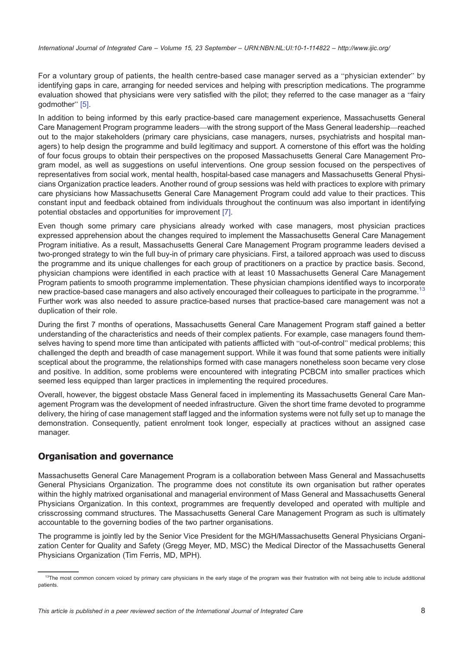For a voluntary group of patients, the health centre-based case manager served as a "physician extender" by identifying gaps in care, arranging for needed services and helping with prescription medications. The programme evaluation showed that physicians were very satisfied with the pilot; they referred to the case manager as a "fairy godmother" [\[5\]](#page-14-0).

In addition to being informed by this early practice-based care management experience, Massachusetts General Care Management Program programme leaders—with the strong support of the Mass General leadership—reached out to the major stakeholders (primary care physicians, case managers, nurses, psychiatrists and hospital managers) to help design the programme and build legitimacy and support. A cornerstone of this effort was the holding of four focus groups to obtain their perspectives on the proposed Massachusetts General Care Management Program model, as well as suggestions on useful interventions. One group session focused on the perspectives of representatives from social work, mental health, hospital-based case managers and Massachusetts General Physicians Organization practice leaders. Another round of group sessions was held with practices to explore with primary care physicians how Massachusetts General Care Management Program could add value to their practices. This constant input and feedback obtained from individuals throughout the continuum was also important in identifying potential obstacles and opportunities for improvement [\[7\]](#page-14-0).

Even though some primary care physicians already worked with case managers, most physician practices expressed apprehension about the changes required to implement the Massachusetts General Care Management Program initiative. As a result, Massachusetts General Care Management Program programme leaders devised a two-pronged strategy to win the full buy-in of primary care physicians. First, a tailored approach was used to discuss the programme and its unique challenges for each group of practitioners on a practice by practice basis. Second, physician champions were identified in each practice with at least 10 Massachusetts General Care Management Program patients to smooth programme implementation. These physician champions identified ways to incorporate new practice-based case managers and also actively encouraged their colleagues to participate in the programme.<sup>13</sup> Further work was also needed to assure practice-based nurses that practice-based care management was not a duplication of their role.

During the first 7 months of operations, Massachusetts General Care Management Program staff gained a better understanding of the characteristics and needs of their complex patients. For example, case managers found themselves having to spend more time than anticipated with patients afflicted with "out-of-control" medical problems; this challenged the depth and breadth of case management support. While it was found that some patients were initially sceptical about the programme, the relationships formed with case managers nonetheless soon became very close and positive. In addition, some problems were encountered with integrating PCBCM into smaller practices which seemed less equipped than larger practices in implementing the required procedures.

Overall, however, the biggest obstacle Mass General faced in implementing its Massachusetts General Care Management Program was the development of needed infrastructure. Given the short time frame devoted to programme delivery, the hiring of case management staff lagged and the information systems were not fully set up to manage the demonstration. Consequently, patient enrolment took longer, especially at practices without an assigned case manager.

## Organisation and governance

Massachusetts General Care Management Program is a collaboration between Mass General and Massachusetts General Physicians Organization. The programme does not constitute its own organisation but rather operates within the highly matrixed organisational and managerial environment of Mass General and Massachusetts General Physicians Organization. In this context, programmes are frequently developed and operated with multiple and crisscrossing command structures. The Massachusetts General Care Management Program as such is ultimately accountable to the governing bodies of the two partner organisations.

The programme is jointly led by the Senior Vice President for the MGH/Massachusetts General Physicians Organization Center for Quality and Safety (Gregg Meyer, MD, MSC) the Medical Director of the Massachusetts General Physicians Organization (Tim Ferris, MD, MPH).

<sup>&</sup>lt;sup>13</sup>The most common concern voiced by primary care physicians in the early stage of the program was their frustration with not being able to include additional patients.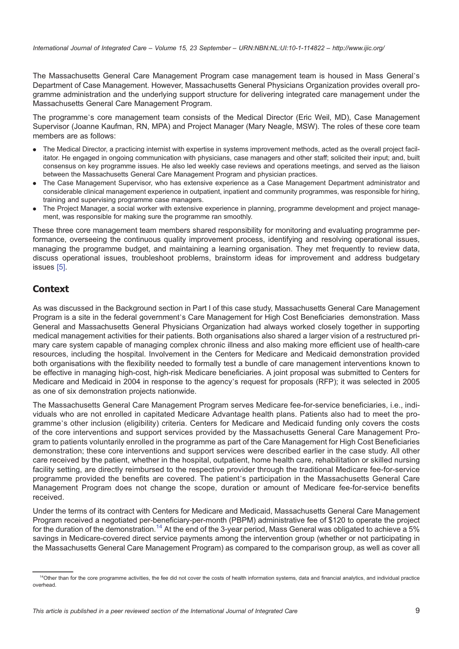The Massachusetts General Care Management Program case management team is housed in Mass General's Department of Case Management. However, Massachusetts General Physicians Organization provides overall programme administration and the underlying support structure for delivering integrated care management under the Massachusetts General Care Management Program.

The programme's core management team consists of the Medical Director (Eric Weil, MD), Case Management Supervisor (Joanne Kaufman, RN, MPA) and Project Manager (Mary Neagle, MSW). The roles of these core team members are as follows:

- . The Medical Director, a practicing internist with expertise in systems improvement methods, acted as the overall project facilitator. He engaged in ongoing communication with physicians, case managers and other staff; solicited their input; and, built consensus on key programme issues. He also led weekly case reviews and operations meetings, and served as the liaison between the Massachusetts General Care Management Program and physician practices.
- . The Case Management Supervisor, who has extensive experience as a Case Management Department administrator and considerable clinical management experience in outpatient, inpatient and community programmes, was responsible for hiring, training and supervising programme case managers.
- . The Project Manager, a social worker with extensive experience in planning, programme development and project management, was responsible for making sure the programme ran smoothly.

These three core management team members shared responsibility for monitoring and evaluating programme performance, overseeing the continuous quality improvement process, identifying and resolving operational issues, managing the programme budget, and maintaining a learning organisation. They met frequently to review data, discuss operational issues, troubleshoot problems, brainstorm ideas for improvement and address budgetary issues [\[5\].](#page-14-0)

## **Context**

As was discussed in the Background section in Part I of this case study, Massachusetts General Care Management Program is a site in the federal government's Care Management for High Cost Beneficiaries demonstration. Mass General and Massachusetts General Physicians Organization had always worked closely together in supporting medical management activities for their patients. Both organisations also shared a larger vision of a restructured primary care system capable of managing complex chronic illness and also making more efficient use of health-care resources, including the hospital. Involvement in the Centers for Medicare and Medicaid demonstration provided both organisations with the flexibility needed to formally test a bundle of care management interventions known to be effective in managing high-cost, high-risk Medicare beneficiaries. A joint proposal was submitted to Centers for Medicare and Medicaid in 2004 in response to the agency's request for proposals (RFP); it was selected in 2005 as one of six demonstration projects nationwide.

The Massachusetts General Care Management Program serves Medicare fee-for-service beneficiaries, i.e., individuals who are not enrolled in capitated Medicare Advantage health plans. Patients also had to meet the programme's other inclusion (eligibility) criteria. Centers for Medicare and Medicaid funding only covers the costs of the core interventions and support services provided by the Massachusetts General Care Management Program to patients voluntarily enrolled in the programme as part of the Care Management for High Cost Beneficiaries demonstration; these core interventions and support services were described earlier in the case study. All other care received by the patient, whether in the hospital, outpatient, home health care, rehabilitation or skilled nursing facility setting, are directly reimbursed to the respective provider through the traditional Medicare fee-for-service programme provided the benefits are covered. The patient's participation in the Massachusetts General Care Management Program does not change the scope, duration or amount of Medicare fee-for-service benefits received.

Under the terms of its contract with Centers for Medicare and Medicaid, Massachusetts General Care Management Program received a negotiated per-beneficiary-per-month (PBPM) administrative fee of \$120 to operate the project for the duration of the demonstration.<sup>14</sup> At the end of the 3-year period, Mass General was obligated to achieve a 5% savings in Medicare-covered direct service payments among the intervention group (whether or not participating in the Massachusetts General Care Management Program) as compared to the comparison group, as well as cover all

<sup>&</sup>lt;sup>14</sup>Other than for the core programme activities, the fee did not cover the costs of health information systems, data and financial analytics, and individual practice overhead.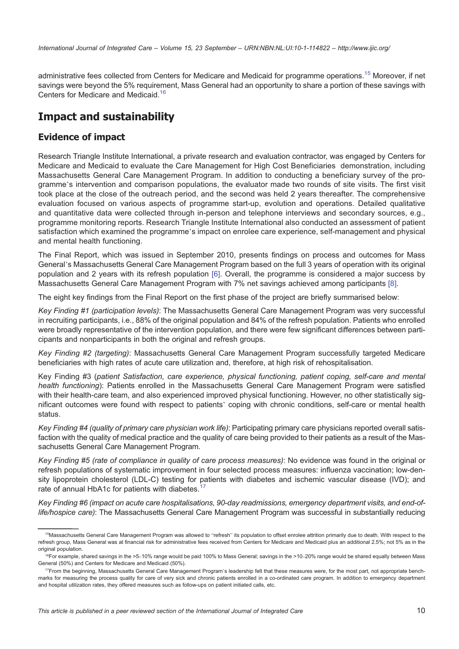administrative fees collected from Centers for Medicare and Medicaid for programme operations.<sup>15</sup> Moreover, if net savings were beyond the 5% requirement, Mass General had an opportunity to share a portion of these savings with Centers for Medicare and Medicaid.<sup>16</sup>

# Impact and sustainability

## Evidence of impact

Research Triangle Institute International, a private research and evaluation contractor, was engaged by Centers for Medicare and Medicaid to evaluate the Care Management for High Cost Beneficiaries demonstration, including Massachusetts General Care Management Program. In addition to conducting a beneficiary survey of the programme's intervention and comparison populations, the evaluator made two rounds of site visits. The first visit took place at the close of the outreach period, and the second was held 2 years thereafter. The comprehensive evaluation focused on various aspects of programme start-up, evolution and operations. Detailed qualitative and quantitative data were collected through in-person and telephone interviews and secondary sources, e.g., programme monitoring reports. Research Triangle Institute International also conducted an assessment of patient satisfaction which examined the programme's impact on enrolee care experience, self-management and physical and mental health functioning.

The Final Report, which was issued in September 2010, presents findings on process and outcomes for Mass General's Massachusetts General Care Management Program based on the full 3 years of operation with its original population and 2 years with its refresh population [\[6\].](#page-14-0) Overall, the programme is considered a major success by Massachusetts General Care Management Program with 7% net savings achieved among participants [\[8\]](#page-14-0).

The eight key findings from the Final Report on the first phase of the project are briefly summarised below:

Key Finding #1 (participation levels): The Massachusetts General Care Management Program was very successful in recruiting participants, i.e., 88% of the original population and 84% of the refresh population. Patients who enrolled were broadly representative of the intervention population, and there were few significant differences between participants and nonparticipants in both the original and refresh groups.

Key Finding #2 (targeting): Massachusetts General Care Management Program successfully targeted Medicare beneficiaries with high rates of acute care utilization and, therefore, at high risk of rehospitalisation.

Key Finding #3 (patient Satisfaction, care experience, physical functioning, patient coping, self-care and mental health functioning): Patients enrolled in the Massachusetts General Care Management Program were satisfied with their health-care team, and also experienced improved physical functioning. However, no other statistically significant outcomes were found with respect to patients' coping with chronic conditions, self-care or mental health status.

Key Finding #4 (quality of primary care physician work life): Participating primary care physicians reported overall satisfaction with the quality of medical practice and the quality of care being provided to their patients as a result of the Massachusetts General Care Management Program.

Key Finding #5 (rate of compliance in quality of care process measures): No evidence was found in the original or refresh populations of systematic improvement in four selected process measures: influenza vaccination; low-density lipoprotein cholesterol (LDL-C) testing for patients with diabetes and ischemic vascular disease (IVD); and rate of annual HbA1c for patients with diabetes.<sup>17</sup>

Key Finding #6 (impact on acute care hospitalisations, 90-day readmissions, emergency department visits, and end-oflife/hospice care): The Massachusetts General Care Management Program was successful in substantially reducing

<sup>&</sup>lt;sup>15</sup>Massachusetts General Care Management Program was allowed to "refresh" its population to offset enrolee attrition primarily due to death. With respect to the refresh group, Mass General was at financial risk for administrative fees received from Centers for Medicare and Medicaid plus an additional 2.5%; not 5% as in the original population.

<sup>&</sup>lt;sup>16</sup>For example, shared savings in the >5–10% range would be paid 100% to Mass General; savings in the >10–20% range would be shared equally between Mass General (50%) and Centers for Medicare and Medicaid (50%).

<sup>&</sup>lt;sup>17</sup>From the beginning, Massachusetts General Care Management Program's leadership felt that these measures were, for the most part, not appropriate benchmarks for measuring the process quality for care of very sick and chronic patients enrolled in a co-ordinated care program. In addition to emergency department and hospital utilization rates, they offered measures such as follow-ups on patient initiated calls, etc.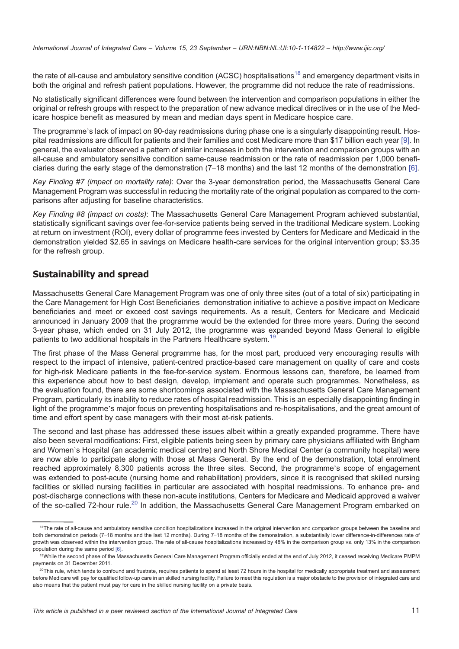the rate of all-cause and ambulatory sensitive condition (ACSC) hospitalisations<sup>18</sup> and emergency department visits in both the original and refresh patient populations. However, the programme did not reduce the rate of readmissions.

No statistically significant differences were found between the intervention and comparison populations in either the original or refresh groups with respect to the preparation of new advance medical directives or in the use of the Medicare hospice benefit as measured by mean and median days spent in Medicare hospice care.

The programme's lack of impact on 90-day readmissions during phase one is a singularly disappointing result. Hospital readmissions are difficult for patients and their families and cost Medicare more than \$17 billion each year [\[9\]](#page-14-0). In general, the evaluator observed a pattern of similar increases in both the intervention and comparison groups with an all-cause and ambulatory sensitive condition same-cause readmission or the rate of readmission per 1,000 beneficiaries during the early stage of the demonstration (7–18 months) and the last 12 months of the demonstration [\[6\]](#page-14-0).

Key Finding #7 (impact on mortality rate): Over the 3-year demonstration period, the Massachusetts General Care Management Program was successful in reducing the mortality rate of the original population as compared to the comparisons after adjusting for baseline characteristics.

Key Finding #8 (impact on costs): The Massachusetts General Care Management Program achieved substantial, statistically significant savings over fee-for-service patients being served in the traditional Medicare system. Looking at return on investment (ROI), every dollar of programme fees invested by Centers for Medicare and Medicaid in the demonstration yielded \$2.65 in savings on Medicare health-care services for the original intervention group; \$3.35 for the refresh group.

### Sustainability and spread

Massachusetts General Care Management Program was one of only three sites (out of a total of six) participating in the Care Management for High Cost Beneficiaries demonstration initiative to achieve a positive impact on Medicare beneficiaries and meet or exceed cost savings requirements. As a result, Centers for Medicare and Medicaid announced in January 2009 that the programme would be the extended for three more years. During the second 3-year phase, which ended on 31 July 2012, the programme was expanded beyond Mass General to eligible patients to two additional hospitals in the Partners Healthcare system.<sup>19</sup>

The first phase of the Mass General programme has, for the most part, produced very encouraging results with respect to the impact of intensive, patient-centred practice-based care management on quality of care and costs for high-risk Medicare patients in the fee-for-service system. Enormous lessons can, therefore, be learned from this experience about how to best design, develop, implement and operate such programmes. Nonetheless, as the evaluation found, there are some shortcomings associated with the Massachusetts General Care Management Program, particularly its inability to reduce rates of hospital readmission. This is an especially disappointing finding in light of the programme's major focus on preventing hospitalisations and re-hospitalisations, and the great amount of time and effort spent by case managers with their most at-risk patients.

The second and last phase has addressed these issues albeit within a greatly expanded programme. There have also been several modifications: First, eligible patients being seen by primary care physicians affiliated with Brigham and Women's Hospital (an academic medical centre) and North Shore Medical Center (a community hospital) were are now able to participate along with those at Mass General. By the end of the demonstration, total enrolment reached approximately 8,300 patients across the three sites. Second, the programme's scope of engagement was extended to post-acute (nursing home and rehabilitation) providers, since it is recognised that skilled nursing facilities or skilled nursing facilities in particular are associated with hospital readmissions. To enhance pre- and post-discharge connections with these non-acute institutions, Centers for Medicare and Medicaid approved a waiver of the so-called 72-hour rule.<sup>20</sup> In addition, the Massachusetts General Care Management Program embarked on

<sup>&</sup>lt;sup>18</sup>The rate of all-cause and ambulatory sensitive condition hospitalizations increased in the original intervention and comparison groups between the baseline and both demonstration periods (7–18 months and the last 12 months). During 7–18 months of the demonstration, a substantially lower difference-in-differences rate of growth was observed within the intervention group. The rate of all-cause hospitalizations increased by 48% in the comparison group vs. only 13% in the comparison population during the same period [\[6\].](#page-14-0)

<sup>&</sup>lt;sup>19</sup>While the second phase of the Massachusetts General Care Management Program officially ended at the end of July 2012, it ceased receiving Medicare PMPM payments on 31 December 2011.

 $^{20}$ This rule, which tends to confound and frustrate, requires patients to spend at least 72 hours in the hospital for medically appropriate treatment and assessment before Medicare will pay for qualified follow-up care in an skilled nursing facility. Failure to meet this regulation is a major obstacle to the provision of integrated care and also means that the patient must pay for care in the skilled nursing facility on a private basis.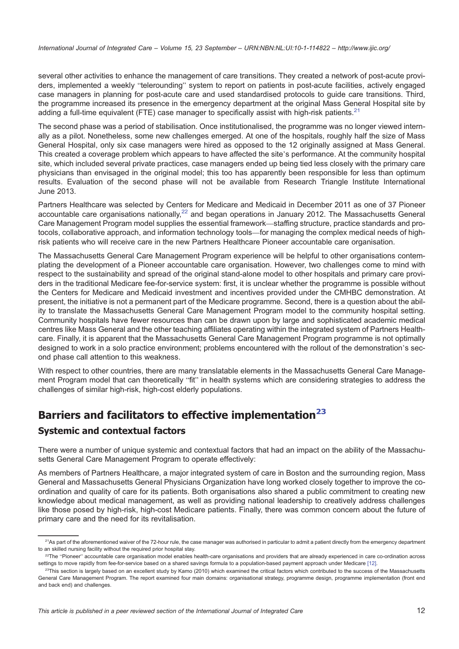several other activities to enhance the management of care transitions. They created a network of post-acute providers, implemented a weekly "telerounding" system to report on patients in post-acute facilities, actively engaged case managers in planning for post-acute care and used standardised protocols to guide care transitions. Third, the programme increased its presence in the emergency department at the original Mass General Hospital site by adding a full-time equivalent (FTE) case manager to specifically assist with high-risk patients.<sup>21</sup>

The second phase was a period of stabilisation. Once institutionalised, the programme was no longer viewed internally as a pilot. Nonetheless, some new challenges emerged. At one of the hospitals, roughly half the size of Mass General Hospital, only six case managers were hired as opposed to the 12 originally assigned at Mass General. This created a coverage problem which appears to have affected the site's performance. At the community hospital site, which included several private practices, case managers ended up being tied less closely with the primary care physicians than envisaged in the original model; this too has apparently been responsible for less than optimum results. Evaluation of the second phase will not be available from Research Triangle Institute International June 2013.

Partners Healthcare was selected by Centers for Medicare and Medicaid in December 2011 as one of 37 Pioneer accountable care organisations nationally, $^{22}$  and began operations in January 2012. The Massachusetts General Care Management Program model supplies the essential framework—staffing structure, practice standards and protocols, collaborative approach, and information technology tools—for managing the complex medical needs of highrisk patients who will receive care in the new Partners Healthcare Pioneer accountable care organisation.

The Massachusetts General Care Management Program experience will be helpful to other organisations contemplating the development of a Pioneer accountable care organisation. However, two challenges come to mind with respect to the sustainability and spread of the original stand-alone model to other hospitals and primary care providers in the traditional Medicare fee-for-service system: first, it is unclear whether the programme is possible without the Centers for Medicare and Medicaid investment and incentives provided under the CMHBC demonstration. At present, the initiative is not a permanent part of the Medicare programme. Second, there is a question about the ability to translate the Massachusetts General Care Management Program model to the community hospital setting. Community hospitals have fewer resources than can be drawn upon by large and sophisticated academic medical centres like Mass General and the other teaching affiliates operating within the integrated system of Partners Healthcare. Finally, it is apparent that the Massachusetts General Care Management Program programme is not optimally designed to work in a solo practice environment; problems encountered with the rollout of the demonstration's second phase call attention to this weakness.

With respect to other countries, there are many translatable elements in the Massachusetts General Care Management Program model that can theoretically "fit" in health systems which are considering strategies to address the challenges of similar high-risk, high-cost elderly populations.

# Barriers and facilitators to effective implementation<sup>23</sup>

## Systemic and contextual factors

There were a number of unique systemic and contextual factors that had an impact on the ability of the Massachusetts General Care Management Program to operate effectively:

As members of Partners Healthcare, a major integrated system of care in Boston and the surrounding region, Mass General and Massachusetts General Physicians Organization have long worked closely together to improve the coordination and quality of care for its patients. Both organisations also shared a public commitment to creating new knowledge about medical management, as well as providing national leadership to creatively address challenges like those posed by high-risk, high-cost Medicare patients. Finally, there was common concern about the future of primary care and the need for its revitalisation.

<sup>&</sup>lt;sup>21</sup>As part of the aforementioned waiver of the 72-hour rule, the case manager was authorised in particular to admit a patient directly from the emergency department to an skilled nursing facility without the required prior hospital stay.

<sup>&</sup>lt;sup>22</sup>The "Pioneer" accountable care organisation model enables health-care organisations and providers that are already experienced in care co-ordination across settings to move rapidly from fee-for-service based on a shared savings formula to a population-based payment approach under Medicare [\[12\]](#page-14-0).

 $^{23}$ This section is largely based on an excellent study by Kamo (2010) which examined the critical factors which contributed to the success of the Massachusetts General Care Management Program. The report examined four main domains: organisational strategy, programme design, programme implementation (front end and back end) and challenges.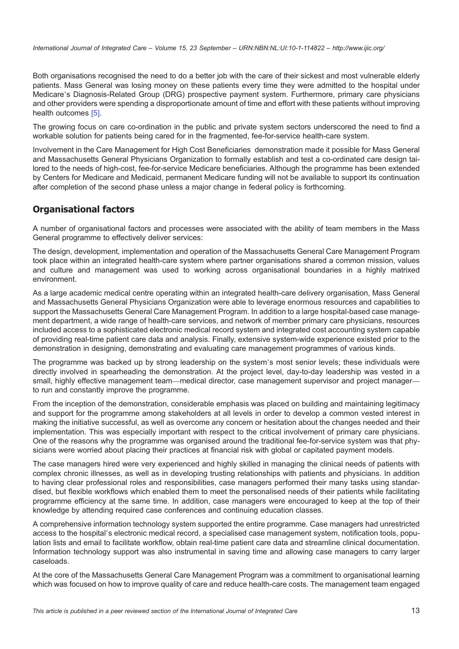International Journal of Integrated Care – Volume 15, 23 September – URN:NBN:NL:UI:10-1-114822 – <http://www.ijic.org/>

Both organisations recognised the need to do a better job with the care of their sickest and most vulnerable elderly patients. Mass General was losing money on these patients every time they were admitted to the hospital under Medicare's Diagnosis-Related Group (DRG) prospective payment system. Furthermore, primary care physicians and other providers were spending a disproportionate amount of time and effort with these patients without improving health outcomes [\[5\]](#page-14-0).

The growing focus on care co-ordination in the public and private system sectors underscored the need to find a workable solution for patients being cared for in the fragmented, fee-for-service health-care system.

Involvement in the Care Management for High Cost Beneficiaries demonstration made it possible for Mass General and Massachusetts General Physicians Organization to formally establish and test a co-ordinated care design tailored to the needs of high-cost, fee-for-service Medicare beneficiaries. Although the programme has been extended by Centers for Medicare and Medicaid, permanent Medicare funding will not be available to support its continuation after completion of the second phase unless a major change in federal policy is forthcoming.

## Organisational factors

A number of organisational factors and processes were associated with the ability of team members in the Mass General programme to effectively deliver services:

The design, development, implementation and operation of the Massachusetts General Care Management Program took place within an integrated health-care system where partner organisations shared a common mission, values and culture and management was used to working across organisational boundaries in a highly matrixed environment.

As a large academic medical centre operating within an integrated health-care delivery organisation, Mass General and Massachusetts General Physicians Organization were able to leverage enormous resources and capabilities to support the Massachusetts General Care Management Program. In addition to a large hospital-based case management department, a wide range of health-care services, and network of member primary care physicians, resources included access to a sophisticated electronic medical record system and integrated cost accounting system capable of providing real-time patient care data and analysis. Finally, extensive system-wide experience existed prior to the demonstration in designing, demonstrating and evaluating care management programmes of various kinds.

The programme was backed up by strong leadership on the system's most senior levels; these individuals were directly involved in spearheading the demonstration. At the project level, day-to-day leadership was vested in a small, highly effective management team—medical director, case management supervisor and project managerto run and constantly improve the programme.

From the inception of the demonstration, considerable emphasis was placed on building and maintaining legitimacy and support for the programme among stakeholders at all levels in order to develop a common vested interest in making the initiative successful, as well as overcome any concern or hesitation about the changes needed and their implementation. This was especially important with respect to the critical involvement of primary care physicians. One of the reasons why the programme was organised around the traditional fee-for-service system was that physicians were worried about placing their practices at financial risk with global or capitated payment models.

The case managers hired were very experienced and highly skilled in managing the clinical needs of patients with complex chronic illnesses, as well as in developing trusting relationships with patients and physicians. In addition to having clear professional roles and responsibilities, case managers performed their many tasks using standardised, but flexible workflows which enabled them to meet the personalised needs of their patients while facilitating programme efficiency at the same time. In addition, case managers were encouraged to keep at the top of their knowledge by attending required case conferences and continuing education classes.

A comprehensive information technology system supported the entire programme. Case managers had unrestricted access to the hospital's electronic medical record, a specialised case management system, notification tools, population lists and email to facilitate workflow, obtain real-time patient care data and streamline clinical documentation. Information technology support was also instrumental in saving time and allowing case managers to carry larger caseloads.

At the core of the Massachusetts General Care Management Program was a commitment to organisational learning which was focused on how to improve quality of care and reduce health-care costs. The management team engaged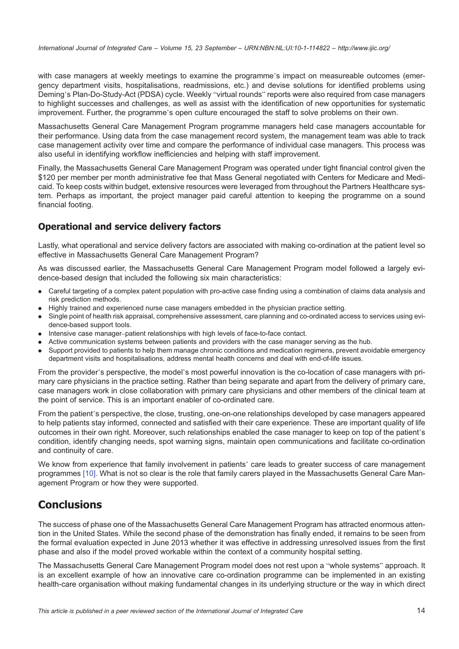with case managers at weekly meetings to examine the programme's impact on measureable outcomes (emergency department visits, hospitalisations, readmissions, etc.) and devise solutions for identified problems using Deming's Plan-Do-Study-Act (PDSA) cycle. Weekly "virtual rounds" reports were also required from case managers to highlight successes and challenges, as well as assist with the identification of new opportunities for systematic improvement. Further, the programme's open culture encouraged the staff to solve problems on their own.

Massachusetts General Care Management Program programme managers held case managers accountable for their performance. Using data from the case management record system, the management team was able to track case management activity over time and compare the performance of individual case managers. This process was also useful in identifying workflow inefficiencies and helping with staff improvement.

Finally, the Massachusetts General Care Management Program was operated under tight financial control given the \$120 per member per month administrative fee that Mass General negotiated with Centers for Medicare and Medicaid. To keep costs within budget, extensive resources were leveraged from throughout the Partners Healthcare system. Perhaps as important, the project manager paid careful attention to keeping the programme on a sound financial footing.

## Operational and service delivery factors

Lastly, what operational and service delivery factors are associated with making co-ordination at the patient level so effective in Massachusetts General Care Management Program?

As was discussed earlier, the Massachusetts General Care Management Program model followed a largely evidence-based design that included the following six main characteristics:

- . Careful targeting of a complex patent population with pro-active case finding using a combination of claims data analysis and risk prediction methods.
- . Highly trained and experienced nurse case managers embedded in the physician practice setting.
- . Single point of health risk appraisal, comprehensive assessment, care planning and co-ordinated access to services using evidence-based support tools.
- . Intensive case manager–patient relationships with high levels of face-to-face contact.
- . Active communication systems between patients and providers with the case manager serving as the hub.
- . Support provided to patients to help them manage chronic conditions and medication regimens, prevent avoidable emergency department visits and hospitalisations, address mental health concerns and deal with end-of-life issues.

From the provider's perspective, the model's most powerful innovation is the co-location of case managers with primary care physicians in the practice setting. Rather than being separate and apart from the delivery of primary care, case managers work in close collaboration with primary care physicians and other members of the clinical team at the point of service. This is an important enabler of co-ordinated care.

From the patient's perspective, the close, trusting, one-on-one relationships developed by case managers appeared to help patients stay informed, connected and satisfied with their care experience. These are important quality of life outcomes in their own right. Moreover, such relationships enabled the case manager to keep on top of the patient's condition, identify changing needs, spot warning signs, maintain open communications and facilitate co-ordination and continuity of care.

We know from experience that family involvement in patients' care leads to greater success of care management programmes [\[10\]](#page-14-0). What is not so clear is the role that family carers played in the Massachusetts General Care Management Program or how they were supported.

# Conclusions

The success of phase one of the Massachusetts General Care Management Program has attracted enormous attention in the United States. While the second phase of the demonstration has finally ended, it remains to be seen from the formal evaluation expected in June 2013 whether it was effective in addressing unresolved issues from the first phase and also if the model proved workable within the context of a community hospital setting.

The Massachusetts General Care Management Program model does not rest upon a "whole systems" approach. It is an excellent example of how an innovative care co-ordination programme can be implemented in an existing health-care organisation without making fundamental changes in its underlying structure or the way in which direct